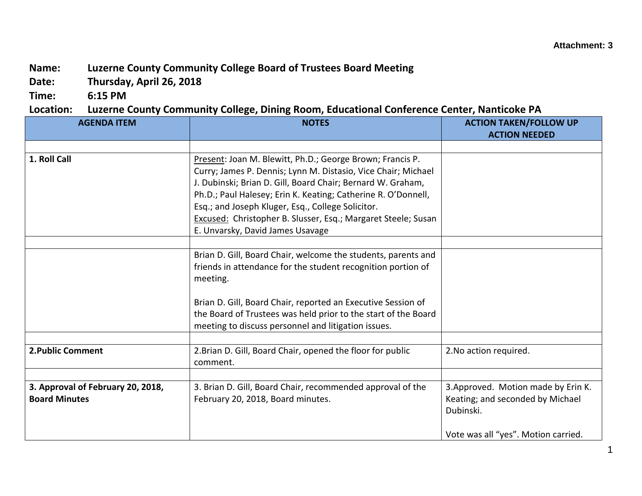## **Name: Luzerne County Community College Board of Trustees Board Meeting**

**Date: Thursday, April 26, 2018**

**Time: 6:15 PM**

## **Location: Luzerne County Community College, Dining Room, Educational Conference Center, Nanticoke PA**

| <b>AGENDA ITEM</b>                                        | <b>NOTES</b>                                                                                                                                                                                                                                                                                                                                                                                                         | <b>ACTION TAKEN/FOLLOW UP</b><br><b>ACTION NEEDED</b>                                                                       |
|-----------------------------------------------------------|----------------------------------------------------------------------------------------------------------------------------------------------------------------------------------------------------------------------------------------------------------------------------------------------------------------------------------------------------------------------------------------------------------------------|-----------------------------------------------------------------------------------------------------------------------------|
|                                                           |                                                                                                                                                                                                                                                                                                                                                                                                                      |                                                                                                                             |
| 1. Roll Call                                              | Present: Joan M. Blewitt, Ph.D.; George Brown; Francis P.<br>Curry; James P. Dennis; Lynn M. Distasio, Vice Chair; Michael<br>J. Dubinski; Brian D. Gill, Board Chair; Bernard W. Graham,<br>Ph.D.; Paul Halesey; Erin K. Keating; Catherine R. O'Donnell,<br>Esq.; and Joseph Kluger, Esq., College Solicitor.<br>Excused: Christopher B. Slusser, Esq.; Margaret Steele; Susan<br>E. Unvarsky, David James Usavage |                                                                                                                             |
|                                                           |                                                                                                                                                                                                                                                                                                                                                                                                                      |                                                                                                                             |
|                                                           | Brian D. Gill, Board Chair, welcome the students, parents and<br>friends in attendance for the student recognition portion of<br>meeting.                                                                                                                                                                                                                                                                            |                                                                                                                             |
|                                                           | Brian D. Gill, Board Chair, reported an Executive Session of<br>the Board of Trustees was held prior to the start of the Board<br>meeting to discuss personnel and litigation issues.                                                                                                                                                                                                                                |                                                                                                                             |
|                                                           |                                                                                                                                                                                                                                                                                                                                                                                                                      |                                                                                                                             |
| 2. Public Comment                                         | 2. Brian D. Gill, Board Chair, opened the floor for public<br>comment.                                                                                                                                                                                                                                                                                                                                               | 2. No action required.                                                                                                      |
|                                                           |                                                                                                                                                                                                                                                                                                                                                                                                                      |                                                                                                                             |
| 3. Approval of February 20, 2018,<br><b>Board Minutes</b> | 3. Brian D. Gill, Board Chair, recommended approval of the<br>February 20, 2018, Board minutes.                                                                                                                                                                                                                                                                                                                      | 3. Approved. Motion made by Erin K.<br>Keating; and seconded by Michael<br>Dubinski.<br>Vote was all "yes". Motion carried. |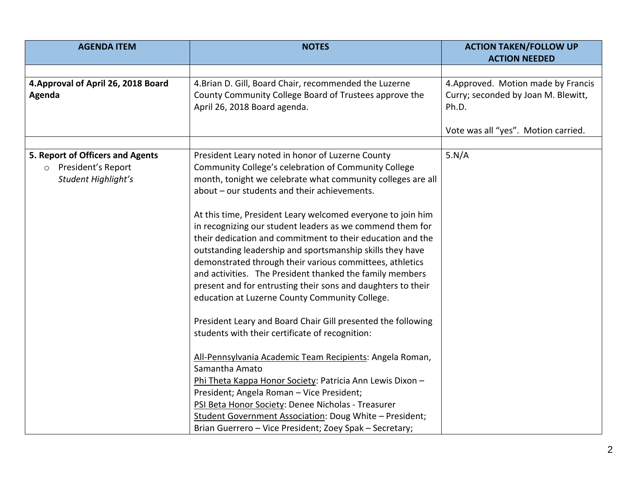| <b>AGENDA ITEM</b>                                                                       | <b>NOTES</b>                                                                                                                                                                                                                                                                                                                                                                                                                                                                                  | <b>ACTION TAKEN/FOLLOW UP</b>                                                       |
|------------------------------------------------------------------------------------------|-----------------------------------------------------------------------------------------------------------------------------------------------------------------------------------------------------------------------------------------------------------------------------------------------------------------------------------------------------------------------------------------------------------------------------------------------------------------------------------------------|-------------------------------------------------------------------------------------|
|                                                                                          |                                                                                                                                                                                                                                                                                                                                                                                                                                                                                               | <b>ACTION NEEDED</b>                                                                |
| 4. Approval of April 26, 2018 Board<br>Agenda                                            | 4. Brian D. Gill, Board Chair, recommended the Luzerne<br>County Community College Board of Trustees approve the<br>April 26, 2018 Board agenda.                                                                                                                                                                                                                                                                                                                                              | 4. Approved. Motion made by Francis<br>Curry; seconded by Joan M. Blewitt,<br>Ph.D. |
|                                                                                          |                                                                                                                                                                                                                                                                                                                                                                                                                                                                                               | Vote was all "yes". Motion carried.                                                 |
|                                                                                          |                                                                                                                                                                                                                                                                                                                                                                                                                                                                                               |                                                                                     |
| 5. Report of Officers and Agents<br>President's Report<br>$\circ$<br>Student Highlight's | President Leary noted in honor of Luzerne County<br>Community College's celebration of Community College<br>month, tonight we celebrate what community colleges are all<br>about - our students and their achievements.                                                                                                                                                                                                                                                                       | 5.N/A                                                                               |
|                                                                                          | At this time, President Leary welcomed everyone to join him<br>in recognizing our student leaders as we commend them for<br>their dedication and commitment to their education and the<br>outstanding leadership and sportsmanship skills they have<br>demonstrated through their various committees, athletics<br>and activities. The President thanked the family members<br>present and for entrusting their sons and daughters to their<br>education at Luzerne County Community College. |                                                                                     |
|                                                                                          | President Leary and Board Chair Gill presented the following<br>students with their certificate of recognition:                                                                                                                                                                                                                                                                                                                                                                               |                                                                                     |
|                                                                                          | All-Pennsylvania Academic Team Recipients: Angela Roman,<br>Samantha Amato<br>Phi Theta Kappa Honor Society: Patricia Ann Lewis Dixon -<br>President; Angela Roman - Vice President;                                                                                                                                                                                                                                                                                                          |                                                                                     |
|                                                                                          | PSI Beta Honor Society: Denee Nicholas - Treasurer<br>Student Government Association: Doug White - President;<br>Brian Guerrero - Vice President; Zoey Spak - Secretary;                                                                                                                                                                                                                                                                                                                      |                                                                                     |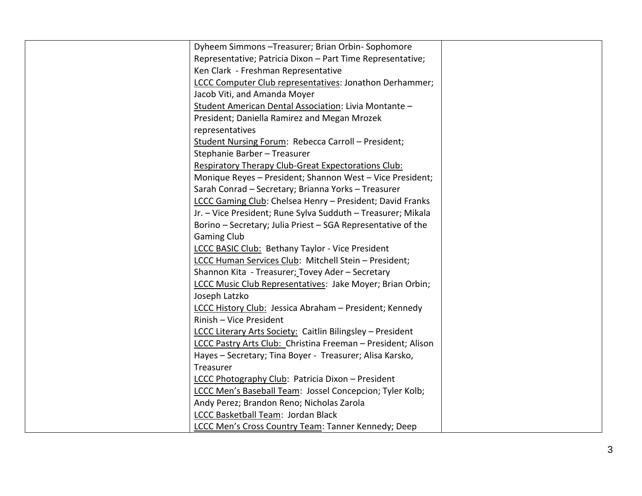| Dyheem Simmons-Treasurer; Brian Orbin-Sophomore              |  |
|--------------------------------------------------------------|--|
| Representative; Patricia Dixon - Part Time Representative;   |  |
| Ken Clark - Freshman Representative                          |  |
| LCCC Computer Club representatives: Jonathon Derhammer;      |  |
| Jacob Viti, and Amanda Moyer                                 |  |
| Student American Dental Association: Livia Montante -        |  |
| President; Daniella Ramirez and Megan Mrozek                 |  |
| representatives                                              |  |
| Student Nursing Forum: Rebecca Carroll - President;          |  |
| Stephanie Barber - Treasurer                                 |  |
| Respiratory Therapy Club-Great Expectorations Club:          |  |
| Monique Reyes - President; Shannon West - Vice President;    |  |
| Sarah Conrad - Secretary; Brianna Yorks - Treasurer          |  |
| LCCC Gaming Club: Chelsea Henry - President; David Franks    |  |
| Jr. - Vice President; Rune Sylva Sudduth - Treasurer; Mikala |  |
| Borino - Secretary; Julia Priest - SGA Representative of the |  |
| <b>Gaming Club</b>                                           |  |
| LCCC BASIC Club: Bethany Taylor - Vice President             |  |
| LCCC Human Services Club: Mitchell Stein - President;        |  |
| Shannon Kita - Treasurer; Tovey Ader - Secretary             |  |
| LCCC Music Club Representatives: Jake Moyer; Brian Orbin;    |  |
| Joseph Latzko                                                |  |
| LCCC History Club: Jessica Abraham - President; Kennedy      |  |
| Rinish - Vice President                                      |  |
| LCCC Literary Arts Society: Caitlin Bilingsley - President   |  |
| LCCC Pastry Arts Club: Christina Freeman - President; Alison |  |
| Hayes - Secretary; Tina Boyer - Treasurer; Alisa Karsko,     |  |
| Treasurer                                                    |  |
| LCCC Photography Club: Patricia Dixon - President            |  |
| LCCC Men's Baseball Team: Jossel Concepcion; Tyler Kolb;     |  |
| Andy Perez; Brandon Reno; Nicholas Zarola                    |  |
| LCCC Basketball Team: Jordan Black                           |  |
| LCCC Men's Cross Country Team: Tanner Kennedy; Deep          |  |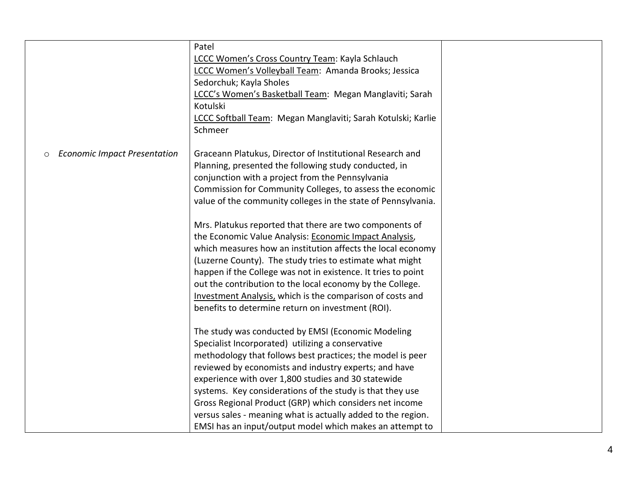|                                          | Patel                                                         |  |
|------------------------------------------|---------------------------------------------------------------|--|
|                                          | LCCC Women's Cross Country Team: Kayla Schlauch               |  |
|                                          | LCCC Women's Volleyball Team: Amanda Brooks; Jessica          |  |
|                                          | Sedorchuk; Kayla Sholes                                       |  |
|                                          | LCCC's Women's Basketball Team: Megan Manglaviti; Sarah       |  |
|                                          | Kotulski                                                      |  |
|                                          | LCCC Softball Team: Megan Manglaviti; Sarah Kotulski; Karlie  |  |
|                                          | Schmeer                                                       |  |
|                                          |                                                               |  |
| <b>Economic Impact Presentation</b><br>O | Graceann Platukus, Director of Institutional Research and     |  |
|                                          | Planning, presented the following study conducted, in         |  |
|                                          | conjunction with a project from the Pennsylvania              |  |
|                                          | Commission for Community Colleges, to assess the economic     |  |
|                                          | value of the community colleges in the state of Pennsylvania. |  |
|                                          |                                                               |  |
|                                          | Mrs. Platukus reported that there are two components of       |  |
|                                          | the Economic Value Analysis: Economic Impact Analysis,        |  |
|                                          | which measures how an institution affects the local economy   |  |
|                                          | (Luzerne County). The study tries to estimate what might      |  |
|                                          | happen if the College was not in existence. It tries to point |  |
|                                          | out the contribution to the local economy by the College.     |  |
|                                          | Investment Analysis, which is the comparison of costs and     |  |
|                                          | benefits to determine return on investment (ROI).             |  |
|                                          |                                                               |  |
|                                          | The study was conducted by EMSI (Economic Modeling            |  |
|                                          | Specialist Incorporated) utilizing a conservative             |  |
|                                          | methodology that follows best practices; the model is peer    |  |
|                                          | reviewed by economists and industry experts; and have         |  |
|                                          | experience with over 1,800 studies and 30 statewide           |  |
|                                          | systems. Key considerations of the study is that they use     |  |
|                                          | Gross Regional Product (GRP) which considers net income       |  |
|                                          | versus sales - meaning what is actually added to the region.  |  |
|                                          | EMSI has an input/output model which makes an attempt to      |  |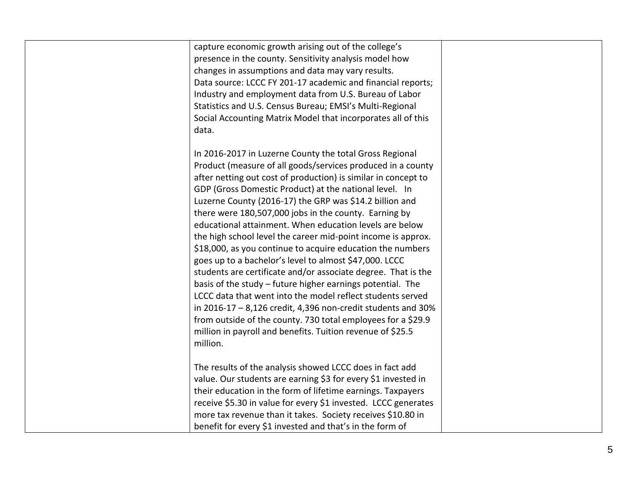| capture economic growth arising out of the college's                |  |
|---------------------------------------------------------------------|--|
| presence in the county. Sensitivity analysis model how              |  |
| changes in assumptions and data may vary results.                   |  |
| Data source: LCCC FY 201-17 academic and financial reports;         |  |
| Industry and employment data from U.S. Bureau of Labor              |  |
| Statistics and U.S. Census Bureau; EMSI's Multi-Regional            |  |
| Social Accounting Matrix Model that incorporates all of this        |  |
| data.                                                               |  |
|                                                                     |  |
| In 2016-2017 in Luzerne County the total Gross Regional             |  |
| Product (measure of all goods/services produced in a county         |  |
| after netting out cost of production) is similar in concept to      |  |
| GDP (Gross Domestic Product) at the national level. In              |  |
| Luzerne County (2016-17) the GRP was \$14.2 billion and             |  |
| there were 180,507,000 jobs in the county. Earning by               |  |
| educational attainment. When education levels are below             |  |
| the high school level the career mid-point income is approx.        |  |
| \$18,000, as you continue to acquire education the numbers          |  |
| goes up to a bachelor's level to almost \$47,000. LCCC              |  |
| students are certificate and/or associate degree. That is the       |  |
| basis of the study - future higher earnings potential. The          |  |
| LCCC data that went into the model reflect students served          |  |
| in $2016 - 17 - 8$ , 126 credit, 4, 396 non-credit students and 30% |  |
| from outside of the county. 730 total employees for a \$29.9        |  |
| million in payroll and benefits. Tuition revenue of \$25.5          |  |
| million.                                                            |  |
|                                                                     |  |
| The results of the analysis showed LCCC does in fact add            |  |
| value. Our students are earning \$3 for every \$1 invested in       |  |
| their education in the form of lifetime earnings. Taxpayers         |  |
| receive \$5.30 in value for every \$1 invested. LCCC generates      |  |
| more tax revenue than it takes. Society receives \$10.80 in         |  |
| benefit for every \$1 invested and that's in the form of            |  |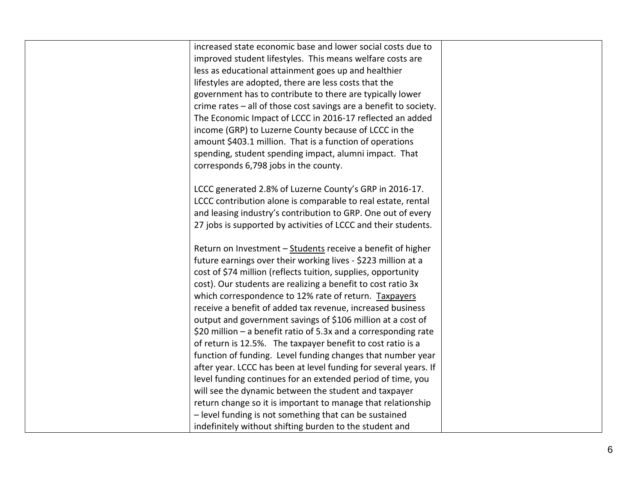| increased state economic base and lower social costs due to       |  |
|-------------------------------------------------------------------|--|
| improved student lifestyles. This means welfare costs are         |  |
| less as educational attainment goes up and healthier              |  |
| lifestyles are adopted, there are less costs that the             |  |
| government has to contribute to there are typically lower         |  |
| crime rates - all of those cost savings are a benefit to society. |  |
| The Economic Impact of LCCC in 2016-17 reflected an added         |  |
| income (GRP) to Luzerne County because of LCCC in the             |  |
| amount \$403.1 million. That is a function of operations          |  |
| spending, student spending impact, alumni impact. That            |  |
| corresponds 6,798 jobs in the county.                             |  |
|                                                                   |  |
| LCCC generated 2.8% of Luzerne County's GRP in 2016-17.           |  |
| LCCC contribution alone is comparable to real estate, rental      |  |
| and leasing industry's contribution to GRP. One out of every      |  |
| 27 jobs is supported by activities of LCCC and their students.    |  |
| Return on Investment - Students receive a benefit of higher       |  |
| future earnings over their working lives - \$223 million at a     |  |
| cost of \$74 million (reflects tuition, supplies, opportunity     |  |
| cost). Our students are realizing a benefit to cost ratio 3x      |  |
| which correspondence to 12% rate of return. Taxpayers             |  |
| receive a benefit of added tax revenue, increased business        |  |
| output and government savings of \$106 million at a cost of       |  |
| \$20 million $-$ a benefit ratio of 5.3x and a corresponding rate |  |
| of return is 12.5%. The taxpayer benefit to cost ratio is a       |  |
| function of funding. Level funding changes that number year       |  |
| after year. LCCC has been at level funding for several years. If  |  |
| level funding continues for an extended period of time, you       |  |
| will see the dynamic between the student and taxpayer             |  |
| return change so it is important to manage that relationship      |  |
| - level funding is not something that can be sustained            |  |
| indefinitely without shifting burden to the student and           |  |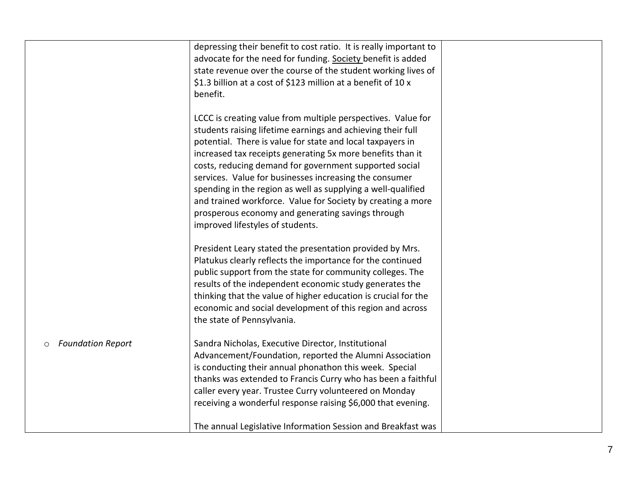|                                     | depressing their benefit to cost ratio. It is really important to<br>advocate for the need for funding. Society benefit is added<br>state revenue over the course of the student working lives of                                                                                                                                                                                                                                                                                                                                                                                                   |
|-------------------------------------|-----------------------------------------------------------------------------------------------------------------------------------------------------------------------------------------------------------------------------------------------------------------------------------------------------------------------------------------------------------------------------------------------------------------------------------------------------------------------------------------------------------------------------------------------------------------------------------------------------|
|                                     | \$1.3 billion at a cost of \$123 million at a benefit of 10 x                                                                                                                                                                                                                                                                                                                                                                                                                                                                                                                                       |
|                                     | benefit.                                                                                                                                                                                                                                                                                                                                                                                                                                                                                                                                                                                            |
|                                     | LCCC is creating value from multiple perspectives. Value for<br>students raising lifetime earnings and achieving their full<br>potential. There is value for state and local taxpayers in<br>increased tax receipts generating 5x more benefits than it<br>costs, reducing demand for government supported social<br>services. Value for businesses increasing the consumer<br>spending in the region as well as supplying a well-qualified<br>and trained workforce. Value for Society by creating a more<br>prosperous economy and generating savings through<br>improved lifestyles of students. |
|                                     | President Leary stated the presentation provided by Mrs.<br>Platukus clearly reflects the importance for the continued<br>public support from the state for community colleges. The<br>results of the independent economic study generates the<br>thinking that the value of higher education is crucial for the<br>economic and social development of this region and across<br>the state of Pennsylvania.                                                                                                                                                                                         |
| <b>Foundation Report</b><br>$\circ$ | Sandra Nicholas, Executive Director, Institutional<br>Advancement/Foundation, reported the Alumni Association<br>is conducting their annual phonathon this week. Special<br>thanks was extended to Francis Curry who has been a faithful<br>caller every year. Trustee Curry volunteered on Monday<br>receiving a wonderful response raising \$6,000 that evening.                                                                                                                                                                                                                                  |
|                                     | The annual Legislative Information Session and Breakfast was                                                                                                                                                                                                                                                                                                                                                                                                                                                                                                                                        |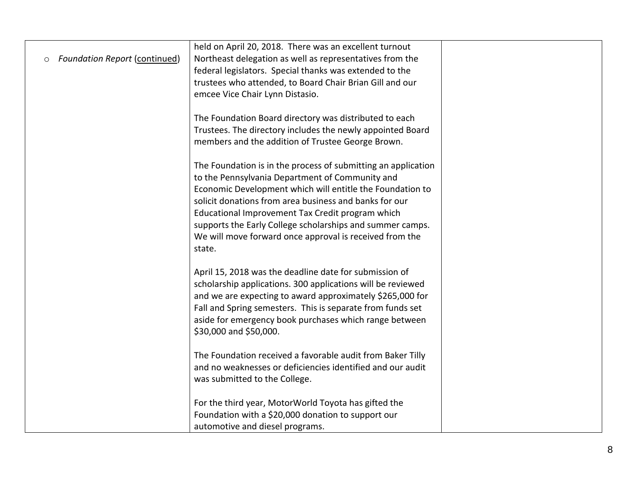|                                                 | held on April 20, 2018. There was an excellent turnout        |  |
|-------------------------------------------------|---------------------------------------------------------------|--|
| <b>Foundation Report (continued)</b><br>$\circ$ | Northeast delegation as well as representatives from the      |  |
|                                                 | federal legislators. Special thanks was extended to the       |  |
|                                                 | trustees who attended, to Board Chair Brian Gill and our      |  |
|                                                 | emcee Vice Chair Lynn Distasio.                               |  |
|                                                 |                                                               |  |
|                                                 | The Foundation Board directory was distributed to each        |  |
|                                                 | Trustees. The directory includes the newly appointed Board    |  |
|                                                 | members and the addition of Trustee George Brown.             |  |
|                                                 |                                                               |  |
|                                                 | The Foundation is in the process of submitting an application |  |
|                                                 | to the Pennsylvania Department of Community and               |  |
|                                                 | Economic Development which will entitle the Foundation to     |  |
|                                                 | solicit donations from area business and banks for our        |  |
|                                                 | Educational Improvement Tax Credit program which              |  |
|                                                 | supports the Early College scholarships and summer camps.     |  |
|                                                 | We will move forward once approval is received from the       |  |
|                                                 | state.                                                        |  |
|                                                 | April 15, 2018 was the deadline date for submission of        |  |
|                                                 | scholarship applications. 300 applications will be reviewed   |  |
|                                                 | and we are expecting to award approximately \$265,000 for     |  |
|                                                 | Fall and Spring semesters. This is separate from funds set    |  |
|                                                 | aside for emergency book purchases which range between        |  |
|                                                 | \$30,000 and \$50,000.                                        |  |
|                                                 |                                                               |  |
|                                                 | The Foundation received a favorable audit from Baker Tilly    |  |
|                                                 | and no weaknesses or deficiencies identified and our audit    |  |
|                                                 | was submitted to the College.                                 |  |
|                                                 |                                                               |  |
|                                                 | For the third year, MotorWorld Toyota has gifted the          |  |
|                                                 | Foundation with a \$20,000 donation to support our            |  |
|                                                 | automotive and diesel programs.                               |  |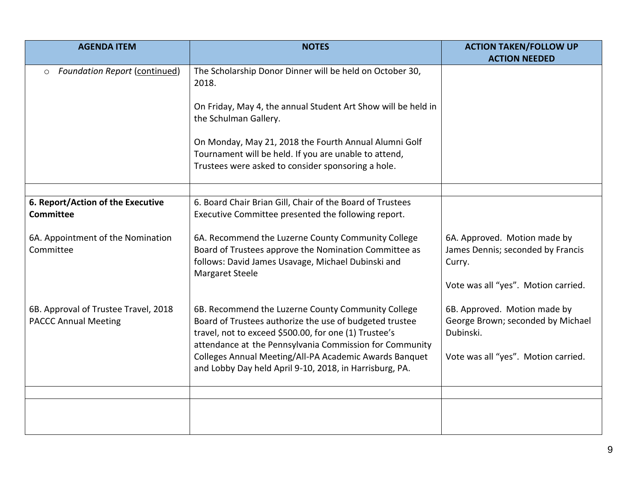| <b>AGENDA ITEM</b>                                                  | <b>NOTES</b>                                                                                                                                                                                                                                                                                                                                           | <b>ACTION TAKEN/FOLLOW UP</b>                                                                                         |
|---------------------------------------------------------------------|--------------------------------------------------------------------------------------------------------------------------------------------------------------------------------------------------------------------------------------------------------------------------------------------------------------------------------------------------------|-----------------------------------------------------------------------------------------------------------------------|
|                                                                     |                                                                                                                                                                                                                                                                                                                                                        | <b>ACTION NEEDED</b>                                                                                                  |
| <b>Foundation Report (continued)</b><br>$\circ$                     | The Scholarship Donor Dinner will be held on October 30,<br>2018.                                                                                                                                                                                                                                                                                      |                                                                                                                       |
|                                                                     | On Friday, May 4, the annual Student Art Show will be held in<br>the Schulman Gallery.                                                                                                                                                                                                                                                                 |                                                                                                                       |
|                                                                     | On Monday, May 21, 2018 the Fourth Annual Alumni Golf<br>Tournament will be held. If you are unable to attend,<br>Trustees were asked to consider sponsoring a hole.                                                                                                                                                                                   |                                                                                                                       |
|                                                                     |                                                                                                                                                                                                                                                                                                                                                        |                                                                                                                       |
| 6. Report/Action of the Executive<br><b>Committee</b>               | 6. Board Chair Brian Gill, Chair of the Board of Trustees<br>Executive Committee presented the following report.                                                                                                                                                                                                                                       |                                                                                                                       |
| 6A. Appointment of the Nomination<br>Committee                      | 6A. Recommend the Luzerne County Community College<br>Board of Trustees approve the Nomination Committee as<br>follows: David James Usavage, Michael Dubinski and<br><b>Margaret Steele</b>                                                                                                                                                            | 6A. Approved. Motion made by<br>James Dennis; seconded by Francis<br>Curry.<br>Vote was all "yes". Motion carried.    |
| 6B. Approval of Trustee Travel, 2018<br><b>PACCC Annual Meeting</b> | 6B. Recommend the Luzerne County Community College<br>Board of Trustees authorize the use of budgeted trustee<br>travel, not to exceed \$500.00, for one (1) Trustee's<br>attendance at the Pennsylvania Commission for Community<br>Colleges Annual Meeting/All-PA Academic Awards Banquet<br>and Lobby Day held April 9-10, 2018, in Harrisburg, PA. | 6B. Approved. Motion made by<br>George Brown; seconded by Michael<br>Dubinski.<br>Vote was all "yes". Motion carried. |
|                                                                     |                                                                                                                                                                                                                                                                                                                                                        |                                                                                                                       |
|                                                                     |                                                                                                                                                                                                                                                                                                                                                        |                                                                                                                       |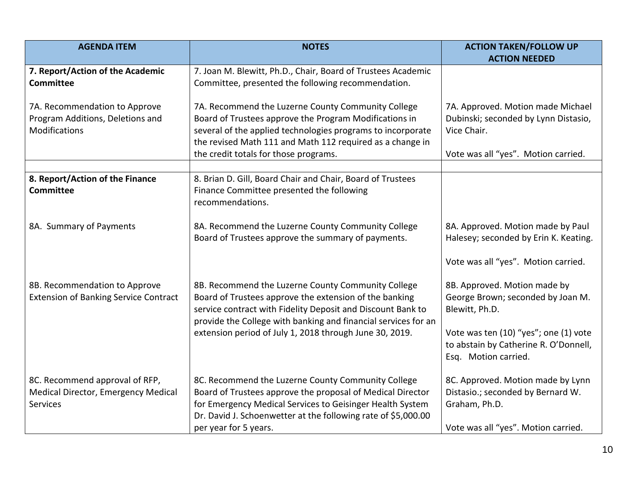| <b>AGENDA ITEM</b>                           | <b>NOTES</b>                                                                                                                  | <b>ACTION TAKEN/FOLLOW UP</b>         |
|----------------------------------------------|-------------------------------------------------------------------------------------------------------------------------------|---------------------------------------|
|                                              |                                                                                                                               | <b>ACTION NEEDED</b>                  |
| 7. Report/Action of the Academic             | 7. Joan M. Blewitt, Ph.D., Chair, Board of Trustees Academic                                                                  |                                       |
| <b>Committee</b>                             | Committee, presented the following recommendation.                                                                            |                                       |
|                                              |                                                                                                                               |                                       |
| 7A. Recommendation to Approve                | 7A. Recommend the Luzerne County Community College                                                                            | 7A. Approved. Motion made Michael     |
| Program Additions, Deletions and             | Board of Trustees approve the Program Modifications in                                                                        | Dubinski; seconded by Lynn Distasio,  |
| Modifications                                | several of the applied technologies programs to incorporate                                                                   | Vice Chair.                           |
|                                              | the revised Math 111 and Math 112 required as a change in                                                                     |                                       |
|                                              | the credit totals for those programs.                                                                                         | Vote was all "yes". Motion carried.   |
| 8. Report/Action of the Finance              | 8. Brian D. Gill, Board Chair and Chair, Board of Trustees                                                                    |                                       |
| <b>Committee</b>                             | Finance Committee presented the following                                                                                     |                                       |
|                                              | recommendations.                                                                                                              |                                       |
|                                              |                                                                                                                               |                                       |
| 8A. Summary of Payments                      | 8A. Recommend the Luzerne County Community College                                                                            | 8A. Approved. Motion made by Paul     |
|                                              | Board of Trustees approve the summary of payments.                                                                            | Halesey; seconded by Erin K. Keating. |
|                                              |                                                                                                                               |                                       |
|                                              |                                                                                                                               | Vote was all "yes". Motion carried.   |
|                                              |                                                                                                                               |                                       |
| 8B. Recommendation to Approve                | 8B. Recommend the Luzerne County Community College                                                                            | 8B. Approved. Motion made by          |
| <b>Extension of Banking Service Contract</b> | Board of Trustees approve the extension of the banking                                                                        | George Brown; seconded by Joan M.     |
|                                              | service contract with Fidelity Deposit and Discount Bank to<br>provide the College with banking and financial services for an | Blewitt, Ph.D.                        |
|                                              | extension period of July 1, 2018 through June 30, 2019.                                                                       | Vote was ten (10) "yes"; one (1) vote |
|                                              |                                                                                                                               | to abstain by Catherine R. O'Donnell, |
|                                              |                                                                                                                               | Esq. Motion carried.                  |
|                                              |                                                                                                                               |                                       |
| 8C. Recommend approval of RFP,               | 8C. Recommend the Luzerne County Community College                                                                            | 8C. Approved. Motion made by Lynn     |
| Medical Director, Emergency Medical          | Board of Trustees approve the proposal of Medical Director                                                                    | Distasio.; seconded by Bernard W.     |
| Services                                     | for Emergency Medical Services to Geisinger Health System                                                                     | Graham, Ph.D.                         |
|                                              | Dr. David J. Schoenwetter at the following rate of \$5,000.00                                                                 |                                       |
|                                              | per year for 5 years.                                                                                                         | Vote was all "yes". Motion carried.   |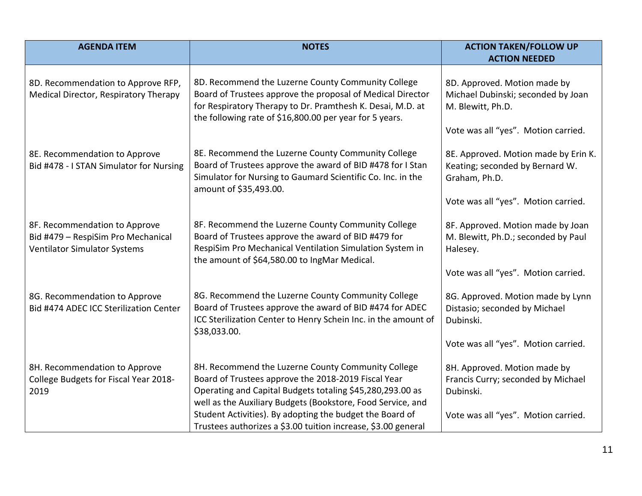| <b>AGENDA ITEM</b>                                                                                         | <b>NOTES</b>                                                                                                                                                                                                                                                                                                                                                       | <b>ACTION TAKEN/FOLLOW UP</b>                                                                                                   |
|------------------------------------------------------------------------------------------------------------|--------------------------------------------------------------------------------------------------------------------------------------------------------------------------------------------------------------------------------------------------------------------------------------------------------------------------------------------------------------------|---------------------------------------------------------------------------------------------------------------------------------|
|                                                                                                            |                                                                                                                                                                                                                                                                                                                                                                    | <b>ACTION NEEDED</b>                                                                                                            |
| 8D. Recommendation to Approve RFP,<br>Medical Director, Respiratory Therapy                                | 8D. Recommend the Luzerne County Community College<br>Board of Trustees approve the proposal of Medical Director<br>for Respiratory Therapy to Dr. Pramthesh K. Desai, M.D. at<br>the following rate of \$16,800.00 per year for 5 years.                                                                                                                          | 8D. Approved. Motion made by<br>Michael Dubinski; seconded by Joan<br>M. Blewitt, Ph.D.<br>Vote was all "yes". Motion carried.  |
| 8E. Recommendation to Approve<br>Bid #478 - I STAN Simulator for Nursing                                   | 8E. Recommend the Luzerne County Community College<br>Board of Trustees approve the award of BID #478 for I Stan<br>Simulator for Nursing to Gaumard Scientific Co. Inc. in the<br>amount of \$35,493.00.                                                                                                                                                          | 8E. Approved. Motion made by Erin K.<br>Keating; seconded by Bernard W.<br>Graham, Ph.D.<br>Vote was all "yes". Motion carried. |
| 8F. Recommendation to Approve<br>Bid #479 - RespiSim Pro Mechanical<br><b>Ventilator Simulator Systems</b> | 8F. Recommend the Luzerne County Community College<br>Board of Trustees approve the award of BID #479 for<br>RespiSim Pro Mechanical Ventilation Simulation System in<br>the amount of \$64,580.00 to IngMar Medical.                                                                                                                                              | 8F. Approved. Motion made by Joan<br>M. Blewitt, Ph.D.; seconded by Paul<br>Halesey.<br>Vote was all "yes". Motion carried.     |
| 8G. Recommendation to Approve<br>Bid #474 ADEC ICC Sterilization Center                                    | 8G. Recommend the Luzerne County Community College<br>Board of Trustees approve the award of BID #474 for ADEC<br>ICC Sterilization Center to Henry Schein Inc. in the amount of<br>\$38,033.00.                                                                                                                                                                   | 8G. Approved. Motion made by Lynn<br>Distasio; seconded by Michael<br>Dubinski.<br>Vote was all "yes". Motion carried.          |
| 8H. Recommendation to Approve<br>College Budgets for Fiscal Year 2018-<br>2019                             | 8H. Recommend the Luzerne County Community College<br>Board of Trustees approve the 2018-2019 Fiscal Year<br>Operating and Capital Budgets totaling \$45,280,293.00 as<br>well as the Auxiliary Budgets (Bookstore, Food Service, and<br>Student Activities). By adopting the budget the Board of<br>Trustees authorizes a \$3.00 tuition increase, \$3.00 general | 8H. Approved. Motion made by<br>Francis Curry; seconded by Michael<br>Dubinski.<br>Vote was all "yes". Motion carried.          |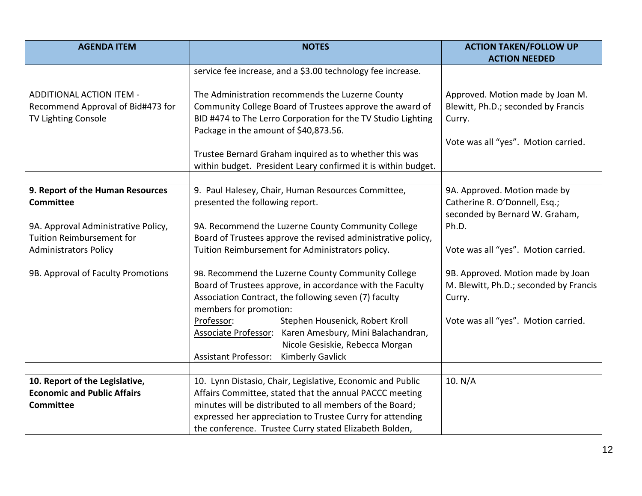| <b>AGENDA ITEM</b>                                                                       | <b>NOTES</b>                                                                                                                                                                                                                                                                                             | <b>ACTION TAKEN/FOLLOW UP</b>                                                                                            |
|------------------------------------------------------------------------------------------|----------------------------------------------------------------------------------------------------------------------------------------------------------------------------------------------------------------------------------------------------------------------------------------------------------|--------------------------------------------------------------------------------------------------------------------------|
|                                                                                          |                                                                                                                                                                                                                                                                                                          | <b>ACTION NEEDED</b>                                                                                                     |
|                                                                                          | service fee increase, and a \$3.00 technology fee increase.                                                                                                                                                                                                                                              |                                                                                                                          |
| ADDITIONAL ACTION ITEM -<br>Recommend Approval of Bid#473 for<br>TV Lighting Console     | The Administration recommends the Luzerne County<br>Community College Board of Trustees approve the award of<br>BID #474 to The Lerro Corporation for the TV Studio Lighting<br>Package in the amount of \$40,873.56.                                                                                    | Approved. Motion made by Joan M.<br>Blewitt, Ph.D.; seconded by Francis<br>Curry.<br>Vote was all "yes". Motion carried. |
|                                                                                          | Trustee Bernard Graham inquired as to whether this was<br>within budget. President Leary confirmed it is within budget.                                                                                                                                                                                  |                                                                                                                          |
|                                                                                          |                                                                                                                                                                                                                                                                                                          |                                                                                                                          |
| 9. Report of the Human Resources<br><b>Committee</b>                                     | 9. Paul Halesey, Chair, Human Resources Committee,<br>presented the following report.                                                                                                                                                                                                                    | 9A. Approved. Motion made by<br>Catherine R. O'Donnell, Esq.;<br>seconded by Bernard W. Graham,                          |
| 9A. Approval Administrative Policy,                                                      | 9A. Recommend the Luzerne County Community College                                                                                                                                                                                                                                                       | Ph.D.                                                                                                                    |
| <b>Tuition Reimbursement for</b>                                                         | Board of Trustees approve the revised administrative policy,                                                                                                                                                                                                                                             |                                                                                                                          |
| <b>Administrators Policy</b>                                                             | Tuition Reimbursement for Administrators policy.                                                                                                                                                                                                                                                         | Vote was all "yes". Motion carried.                                                                                      |
| 9B. Approval of Faculty Promotions                                                       | 9B. Recommend the Luzerne County Community College<br>Board of Trustees approve, in accordance with the Faculty<br>Association Contract, the following seven (7) faculty<br>members for promotion:                                                                                                       | 9B. Approved. Motion made by Joan<br>M. Blewitt, Ph.D.; seconded by Francis<br>Curry.                                    |
|                                                                                          | Professor:<br>Stephen Housenick, Robert Kroll<br>Associate Professor: Karen Amesbury, Mini Balachandran,<br>Nicole Gesiskie, Rebecca Morgan<br><b>Assistant Professor:</b><br><b>Kimberly Gavlick</b>                                                                                                    | Vote was all "yes". Motion carried.                                                                                      |
|                                                                                          |                                                                                                                                                                                                                                                                                                          |                                                                                                                          |
| 10. Report of the Legislative,<br><b>Economic and Public Affairs</b><br><b>Committee</b> | 10. Lynn Distasio, Chair, Legislative, Economic and Public<br>Affairs Committee, stated that the annual PACCC meeting<br>minutes will be distributed to all members of the Board;<br>expressed her appreciation to Trustee Curry for attending<br>the conference. Trustee Curry stated Elizabeth Bolden, | 10. N/A                                                                                                                  |